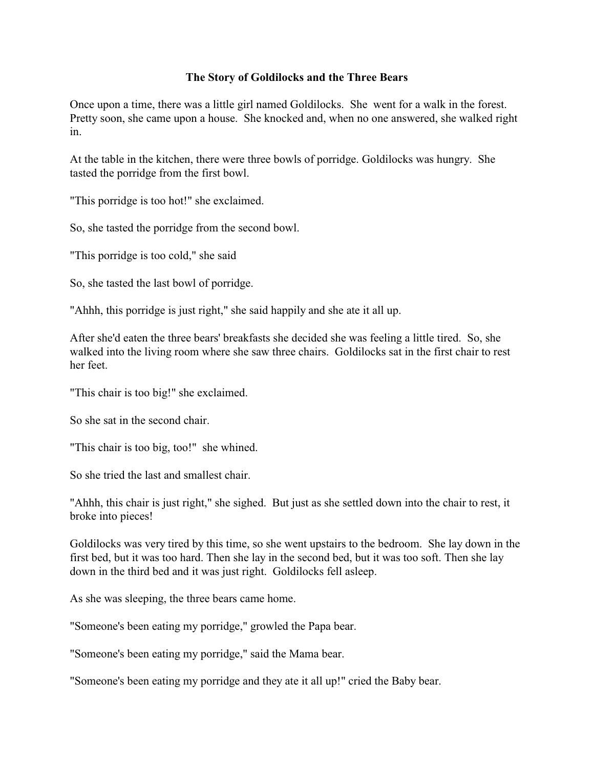### **The Story of Goldilocks and the Three Bears**

Once upon a time, there was a little girl named Goldilocks. She went for a walk in the forest. Pretty soon, she came upon a house. She knocked and, when no one answered, she walked right in.

At the table in the kitchen, there were three bowls of porridge. Goldilocks was hungry. She tasted the porridge from the first bowl.

"This porridge is too hot!" she exclaimed.

So, she tasted the porridge from the second bowl.

"This porridge is too cold," she said

So, she tasted the last bowl of porridge.

"Ahhh, this porridge is just right," she said happily and she ate it all up.

After she'd eaten the three bears' breakfasts she decided she was feeling a little tired. So, she walked into the living room where she saw three chairs. Goldilocks sat in the first chair to rest her feet.

"This chair is too big!" she exclaimed.

So she sat in the second chair.

"This chair is too big, too!" she whined.

So she tried the last and smallest chair.

"Ahhh, this chair is just right," she sighed. But just as she settled down into the chair to rest, it broke into pieces!

Goldilocks was very tired by this time, so she went upstairs to the bedroom. She lay down in the first bed, but it was too hard. Then she lay in the second bed, but it was too soft. Then she lay down in the third bed and it was just right. Goldilocks fell asleep.

As she was sleeping, the three bears came home.

"Someone's been eating my porridge," growled the Papa bear.

"Someone's been eating my porridge," said the Mama bear.

"Someone's been eating my porridge and they ate it all up!" cried the Baby bear.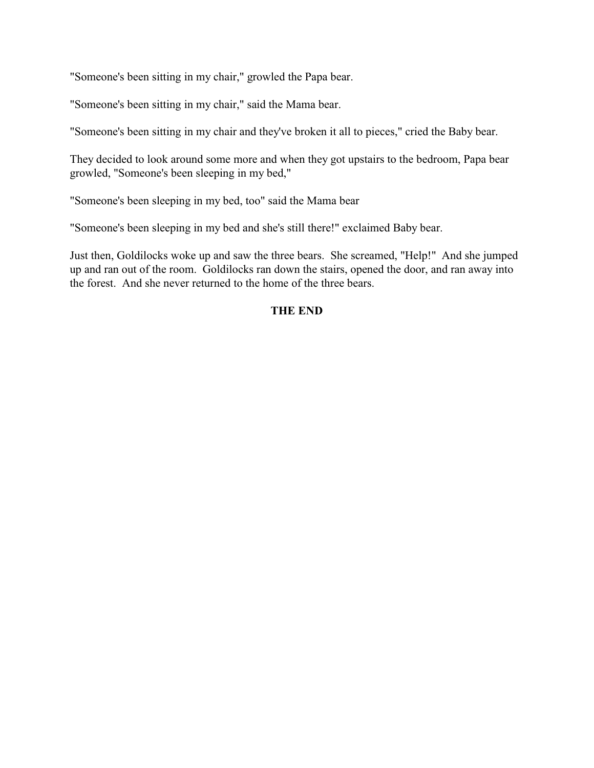"Someone's been sitting in my chair," growled the Papa bear.

"Someone's been sitting in my chair," said the Mama bear.

"Someone's been sitting in my chair and they've broken it all to pieces," cried the Baby bear.

They decided to look around some more and when they got upstairs to the bedroom, Papa bear growled, "Someone's been sleeping in my bed,"

"Someone's been sleeping in my bed, too" said the Mama bear

"Someone's been sleeping in my bed and she's still there!" exclaimed Baby bear.

Just then, Goldilocks woke up and saw the three bears. She screamed, "Help!" And she jumped up and ran out of the room. Goldilocks ran down the stairs, opened the door, and ran away into the forest. And she never returned to the home of the three bears.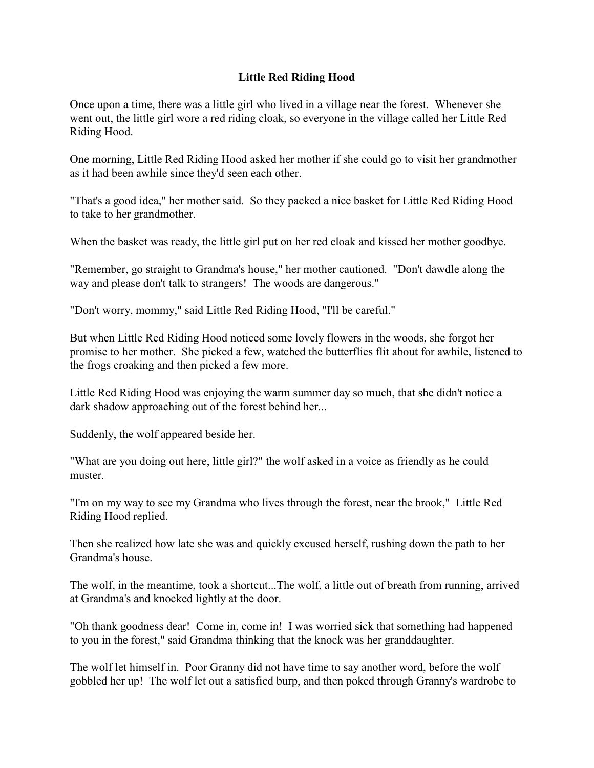## **Little Red Riding Hood**

Once upon a time, there was a little girl who lived in a village near the forest. Whenever she went out, the little girl wore a red riding cloak, so everyone in the village called her Little Red Riding Hood.

One morning, Little Red Riding Hood asked her mother if she could go to visit her grandmother as it had been awhile since they'd seen each other.

"That's a good idea," her mother said. So they packed a nice basket for Little Red Riding Hood to take to her grandmother.

When the basket was ready, the little girl put on her red cloak and kissed her mother goodbye.

"Remember, go straight to Grandma's house," her mother cautioned. "Don't dawdle along the way and please don't talk to strangers! The woods are dangerous."

"Don't worry, mommy," said Little Red Riding Hood, "I'll be careful."

But when Little Red Riding Hood noticed some lovely flowers in the woods, she forgot her promise to her mother. She picked a few, watched the butterflies flit about for awhile, listened to the frogs croaking and then picked a few more.

Little Red Riding Hood was enjoying the warm summer day so much, that she didn't notice a dark shadow approaching out of the forest behind her...

Suddenly, the wolf appeared beside her.

"What are you doing out here, little girl?" the wolf asked in a voice as friendly as he could muster.

"I'm on my way to see my Grandma who lives through the forest, near the brook," Little Red Riding Hood replied.

Then she realized how late she was and quickly excused herself, rushing down the path to her Grandma's house.

The wolf, in the meantime, took a shortcut...The wolf, a little out of breath from running, arrived at Grandma's and knocked lightly at the door.

"Oh thank goodness dear! Come in, come in! I was worried sick that something had happened to you in the forest," said Grandma thinking that the knock was her granddaughter.

The wolf let himself in. Poor Granny did not have time to say another word, before the wolf gobbled her up! The wolf let out a satisfied burp, and then poked through Granny's wardrobe to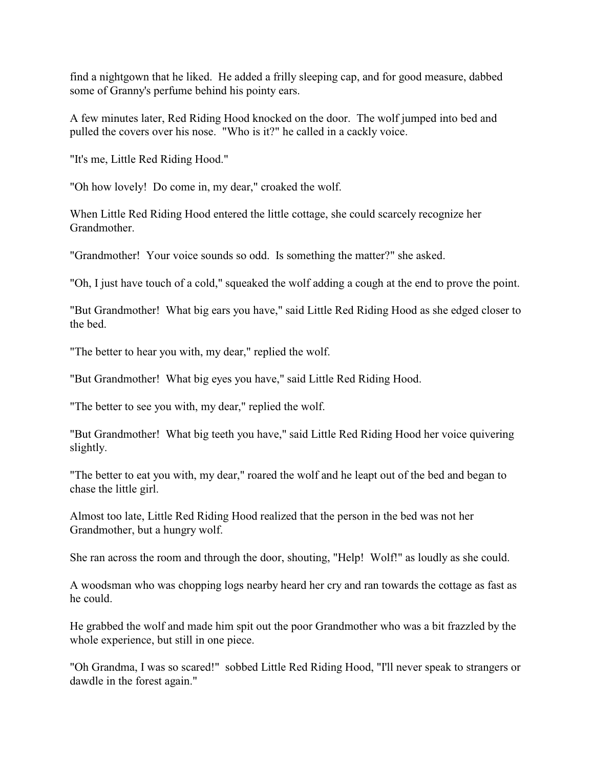find a nightgown that he liked. He added a frilly sleeping cap, and for good measure, dabbed some of Granny's perfume behind his pointy ears.

A few minutes later, Red Riding Hood knocked on the door. The wolf jumped into bed and pulled the covers over his nose. "Who is it?" he called in a cackly voice.

"It's me, Little Red Riding Hood."

"Oh how lovely! Do come in, my dear," croaked the wolf.

When Little Red Riding Hood entered the little cottage, she could scarcely recognize her Grandmother.

"Grandmother! Your voice sounds so odd. Is something the matter?" she asked.

"Oh, I just have touch of a cold," squeaked the wolf adding a cough at the end to prove the point.

"But Grandmother! What big ears you have," said Little Red Riding Hood as she edged closer to the bed.

"The better to hear you with, my dear," replied the wolf.

"But Grandmother! What big eyes you have," said Little Red Riding Hood.

"The better to see you with, my dear," replied the wolf.

"But Grandmother! What big teeth you have," said Little Red Riding Hood her voice quivering slightly.

"The better to eat you with, my dear," roared the wolf and he leapt out of the bed and began to chase the little girl.

Almost too late, Little Red Riding Hood realized that the person in the bed was not her Grandmother, but a hungry wolf.

She ran across the room and through the door, shouting, "Help! Wolf!" as loudly as she could.

A woodsman who was chopping logs nearby heard her cry and ran towards the cottage as fast as he could.

He grabbed the wolf and made him spit out the poor Grandmother who was a bit frazzled by the whole experience, but still in one piece.

"Oh Grandma, I was so scared!" sobbed Little Red Riding Hood, "I'll never speak to strangers or dawdle in the forest again."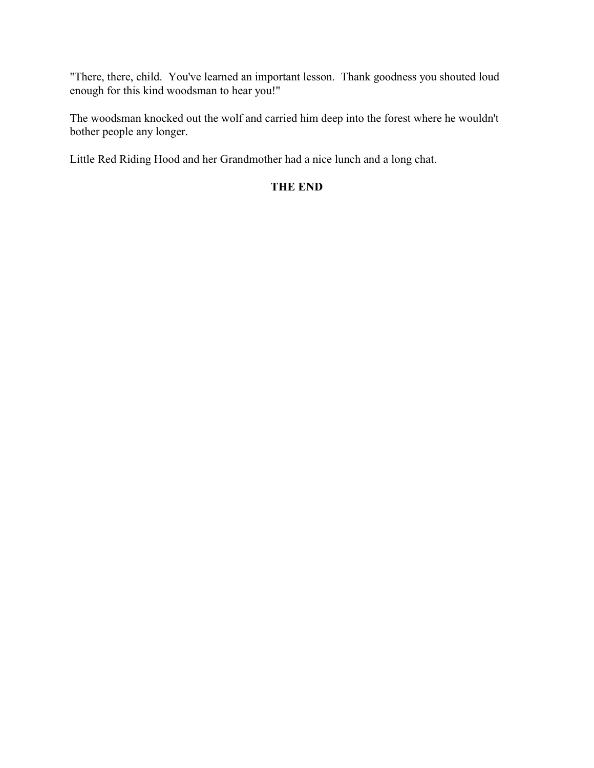"There, there, child. You've learned an important lesson. Thank goodness you shouted loud enough for this kind woodsman to hear you!"

The woodsman knocked out the wolf and carried him deep into the forest where he wouldn't bother people any longer.

Little Red Riding Hood and her Grandmother had a nice lunch and a long chat.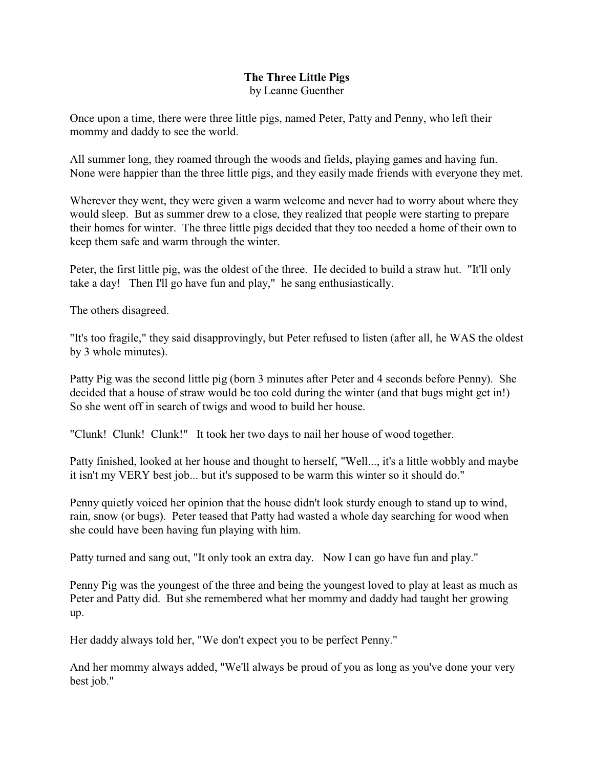## **The Three Little Pigs** by Leanne Guenther

Once upon a time, there were three little pigs, named Peter, Patty and Penny, who left their mommy and daddy to see the world.

All summer long, they roamed through the woods and fields, playing games and having fun. None were happier than the three little pigs, and they easily made friends with everyone they met.

Wherever they went, they were given a warm welcome and never had to worry about where they would sleep. But as summer drew to a close, they realized that people were starting to prepare their homes for winter. The three little pigs decided that they too needed a home of their own to keep them safe and warm through the winter.

Peter, the first little pig, was the oldest of the three. He decided to build a straw hut. "It'll only take a day! Then I'll go have fun and play," he sang enthusiastically.

The others disagreed.

"It's too fragile," they said disapprovingly, but Peter refused to listen (after all, he WAS the oldest by 3 whole minutes).

Patty Pig was the second little pig (born 3 minutes after Peter and 4 seconds before Penny). She decided that a house of straw would be too cold during the winter (and that bugs might get in!) So she went off in search of twigs and wood to build her house.

"Clunk! Clunk! Clunk!" It took her two days to nail her house of wood together.

Patty finished, looked at her house and thought to herself, "Well..., it's a little wobbly and maybe it isn't my VERY best job... but it's supposed to be warm this winter so it should do."

Penny quietly voiced her opinion that the house didn't look sturdy enough to stand up to wind, rain, snow (or bugs). Peter teased that Patty had wasted a whole day searching for wood when she could have been having fun playing with him.

Patty turned and sang out, "It only took an extra day. Now I can go have fun and play."

Penny Pig was the youngest of the three and being the youngest loved to play at least as much as Peter and Patty did. But she remembered what her mommy and daddy had taught her growing up.

Her daddy always told her, "We don't expect you to be perfect Penny."

And her mommy always added, "We'll always be proud of you as long as you've done your very best job."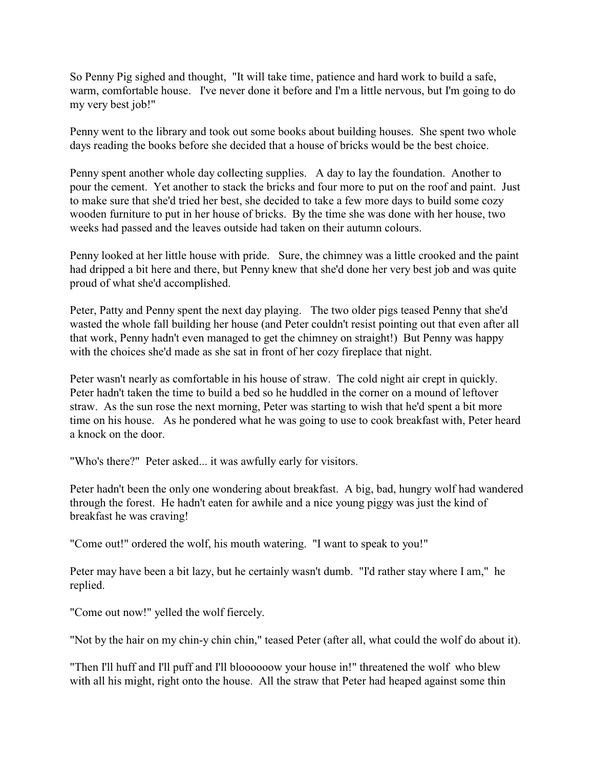So Penny Pig sighed and thought, "It will take time, patience and hard work to build a safe, warm, comfortable house. I've never done it before and I'm a little nervous, but I'm going to do my very best job!"

Penny went to the library and took out some books about building houses. She spent two whole days reading the books before she decided that a house of bricks would be the best choice.

Penny spent another whole day collecting supplies. A day to lay the foundation. Another to pour the cement. Yet another to stack the bricks and four more to put on the roof and paint. Just to make sure that she'd tried her best, she decided to take a few more days to build some cozy wooden furniture to put in her house of bricks. By the time she was done with her house, two weeks had passed and the leaves outside had taken on their autumn colours.

Penny looked at her little house with pride. Sure, the chimney was a little crooked and the paint had dripped a bit here and there, but Penny knew that she'd done her very best job and was quite proud of what she'd accomplished.

Peter, Patty and Penny spent the next day playing. The two older pigs teased Penny that she'd wasted the whole fall building her house (and Peter couldn't resist pointing out that even after all that work, Penny hadn't even managed to get the chimney on straight!) But Penny was happy with the choices she'd made as she sat in front of her cozy fireplace that night.

Peter wasn't nearly as comfortable in his house of straw. The cold night air crept in quickly. Peter hadn't taken the time to build a bed so he huddled in the corner on a mound of leftover straw. As the sun rose the next morning, Peter was starting to wish that he'd spent a bit more time on his house. As he pondered what he was going to use to cook breakfast with, Peter heard a knock on the door.

"Who's there?" Peter asked... it was awfully early for visitors.

Peter hadn't been the only one wondering about breakfast. A big, bad, hungry wolf had wandered through the forest. He hadn't eaten for awhile and a nice young piggy was just the kind of breakfast he was craving!

"Come out!" ordered the wolf, his mouth watering. "I want to speak to you!"

Peter may have been a bit lazy, but he certainly wasn't dumb. "I'd rather stay where I am," he replied.

"Come out now!" yelled the wolf fiercely.

"Not by the hair on my chin-y chin chin," teased Peter (after all, what could the wolf do about it).

"Then I'll huff and I'll puff and I'll bloooooow your house in!" threatened the wolf who blew with all his might, right onto the house. All the straw that Peter had heaped against some thin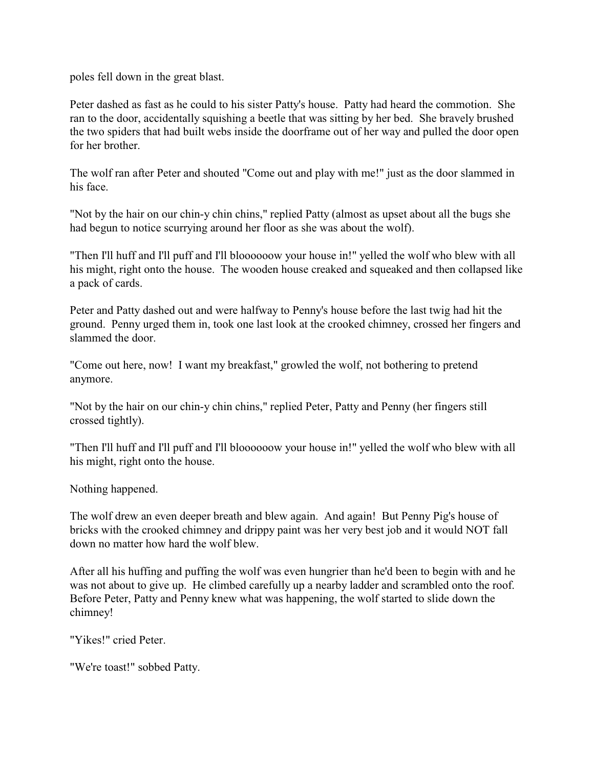poles fell down in the great blast.

Peter dashed as fast as he could to his sister Patty's house. Patty had heard the commotion. She ran to the door, accidentally squishing a beetle that was sitting by her bed. She bravely brushed the two spiders that had built webs inside the doorframe out of her way and pulled the door open for her brother.

The wolf ran after Peter and shouted "Come out and play with me!" just as the door slammed in his face.

"Not by the hair on our chin-y chin chins," replied Patty (almost as upset about all the bugs she had begun to notice scurrying around her floor as she was about the wolf).

"Then I'll huff and I'll puff and I'll bloooooow your house in!" yelled the wolf who blew with all his might, right onto the house. The wooden house creaked and squeaked and then collapsed like a pack of cards.

Peter and Patty dashed out and were halfway to Penny's house before the last twig had hit the ground. Penny urged them in, took one last look at the crooked chimney, crossed her fingers and slammed the door.

"Come out here, now! I want my breakfast," growled the wolf, not bothering to pretend anymore.

"Not by the hair on our chin-y chin chins," replied Peter, Patty and Penny (her fingers still crossed tightly).

"Then I'll huff and I'll puff and I'll bloooooow your house in!" yelled the wolf who blew with all his might, right onto the house.

Nothing happened.

The wolf drew an even deeper breath and blew again. And again! But Penny Pig's house of bricks with the crooked chimney and drippy paint was her very best job and it would NOT fall down no matter how hard the wolf blew.

After all his huffing and puffing the wolf was even hungrier than he'd been to begin with and he was not about to give up. He climbed carefully up a nearby ladder and scrambled onto the roof. Before Peter, Patty and Penny knew what was happening, the wolf started to slide down the chimney!

"Yikes!" cried Peter.

"We're toast!" sobbed Patty.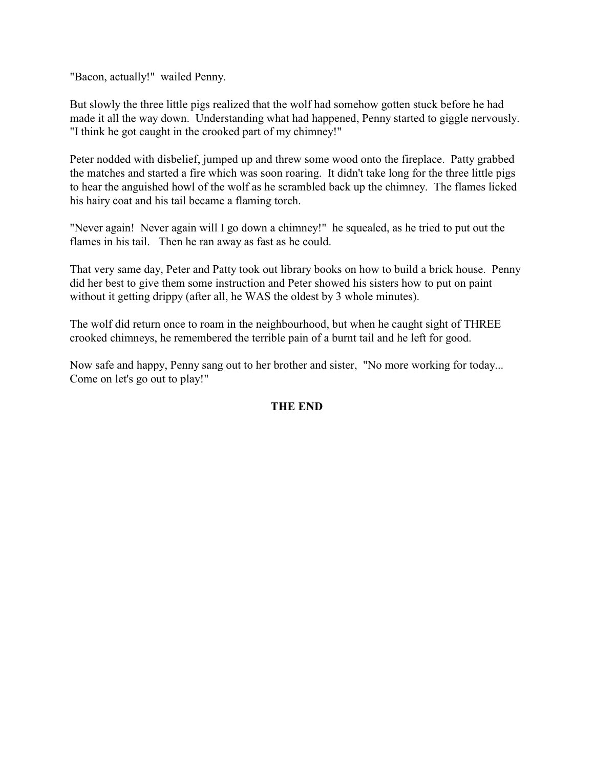"Bacon, actually!" wailed Penny.

But slowly the three little pigs realized that the wolf had somehow gotten stuck before he had made it all the way down. Understanding what had happened, Penny started to giggle nervously. "I think he got caught in the crooked part of my chimney!"

Peter nodded with disbelief, jumped up and threw some wood onto the fireplace. Patty grabbed the matches and started a fire which was soon roaring. It didn't take long for the three little pigs to hear the anguished howl of the wolf as he scrambled back up the chimney. The flames licked his hairy coat and his tail became a flaming torch.

"Never again! Never again will I go down a chimney!" he squealed, as he tried to put out the flames in his tail. Then he ran away as fast as he could.

That very same day, Peter and Patty took out library books on how to build a brick house. Penny did her best to give them some instruction and Peter showed his sisters how to put on paint without it getting drippy (after all, he WAS the oldest by 3 whole minutes).

The wolf did return once to roam in the neighbourhood, but when he caught sight of THREE crooked chimneys, he remembered the terrible pain of a burnt tail and he left for good.

Now safe and happy, Penny sang out to her brother and sister, "No more working for today... Come on let's go out to play!"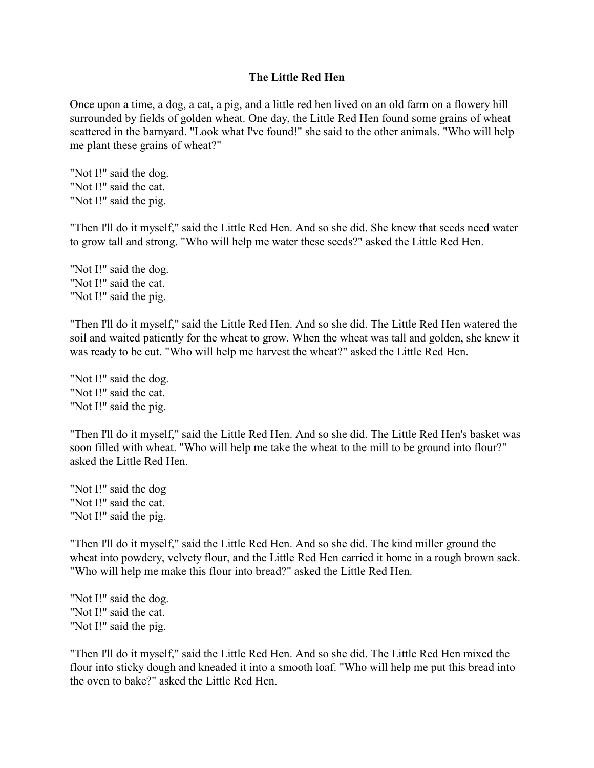#### **The Little Red Hen**

Once upon a time, a dog, a cat, a pig, and a little red hen lived on an old farm on a flowery hill surrounded by fields of golden wheat. One day, the Little Red Hen found some grains of wheat scattered in the barnyard. "Look what I've found!" she said to the other animals. "Who will help me plant these grains of wheat?"

"Not I!" said the dog. "Not I!" said the cat. "Not I!" said the pig.

"Then I'll do it myself," said the Little Red Hen. And so she did. She knew that seeds need water to grow tall and strong. "Who will help me water these seeds?" asked the Little Red Hen.

"Not I!" said the dog. "Not I!" said the cat. "Not I!" said the pig.

"Then I'll do it myself," said the Little Red Hen. And so she did. The Little Red Hen watered the soil and waited patiently for the wheat to grow. When the wheat was tall and golden, she knew it was ready to be cut. "Who will help me harvest the wheat?" asked the Little Red Hen.

"Not I!" said the dog. "Not I!" said the cat. "Not I!" said the pig.

"Then I'll do it myself," said the Little Red Hen. And so she did. The Little Red Hen's basket was soon filled with wheat. "Who will help me take the wheat to the mill to be ground into flour?" asked the Little Red Hen.

"Not I!" said the dog "Not I!" said the cat. "Not I!" said the pig.

"Then I'll do it myself," said the Little Red Hen. And so she did. The kind miller ground the wheat into powdery, velvety flour, and the Little Red Hen carried it home in a rough brown sack. "Who will help me make this flour into bread?" asked the Little Red Hen.

"Not I!" said the dog. "Not I!" said the cat. "Not I!" said the pig.

"Then I'll do it myself," said the Little Red Hen. And so she did. The Little Red Hen mixed the flour into sticky dough and kneaded it into a smooth loaf. "Who will help me put this bread into the oven to bake?" asked the Little Red Hen.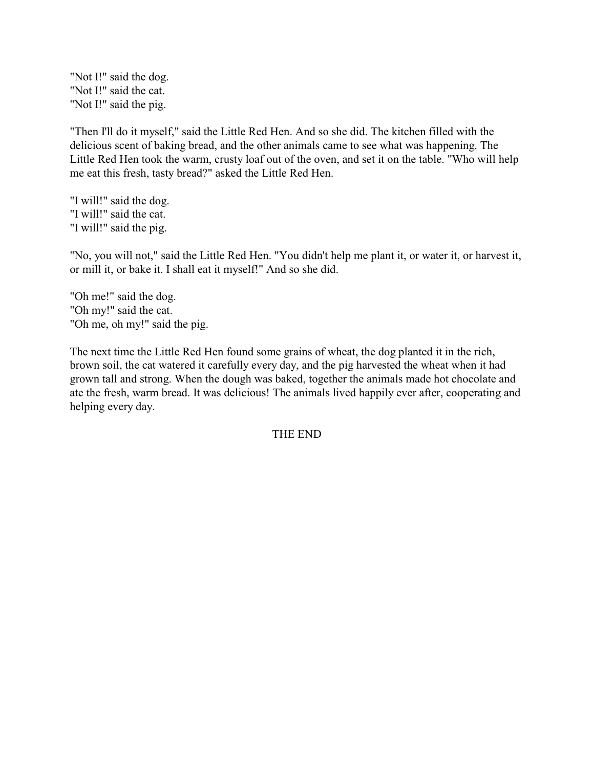"Not I!" said the dog. "Not I!" said the cat. "Not I!" said the pig.

"Then I'll do it myself," said the Little Red Hen. And so she did. The kitchen filled with the delicious scent of baking bread, and the other animals came to see what was happening. The Little Red Hen took the warm, crusty loaf out of the oven, and set it on the table. "Who will help me eat this fresh, tasty bread?" asked the Little Red Hen.

"I will!" said the dog. "I will!" said the cat. "I will!" said the pig.

"No, you will not," said the Little Red Hen. "You didn't help me plant it, or water it, or harvest it, or mill it, or bake it. I shall eat it myself!" And so she did.

"Oh me!" said the dog. "Oh my!" said the cat. "Oh me, oh my!" said the pig.

The next time the Little Red Hen found some grains of wheat, the dog planted it in the rich, brown soil, the cat watered it carefully every day, and the pig harvested the wheat when it had grown tall and strong. When the dough was baked, together the animals made hot chocolate and ate the fresh, warm bread. It was delicious! The animals lived happily ever after, cooperating and helping every day.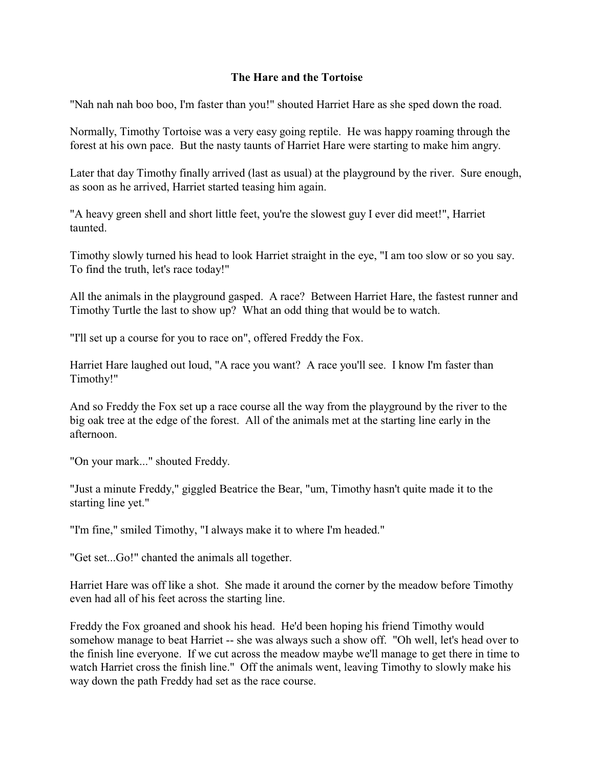### **The Hare and the Tortoise**

"Nah nah nah boo boo, I'm faster than you!" shouted Harriet Hare as she sped down the road.

Normally, Timothy Tortoise was a very easy going reptile. He was happy roaming through the forest at his own pace. But the nasty taunts of Harriet Hare were starting to make him angry.

Later that day Timothy finally arrived (last as usual) at the playground by the river. Sure enough, as soon as he arrived, Harriet started teasing him again.

"A heavy green shell and short little feet, you're the slowest guy I ever did meet!", Harriet taunted.

Timothy slowly turned his head to look Harriet straight in the eye, "I am too slow or so you say. To find the truth, let's race today!"

All the animals in the playground gasped. A race? Between Harriet Hare, the fastest runner and Timothy Turtle the last to show up? What an odd thing that would be to watch.

"I'll set up a course for you to race on", offered Freddy the Fox.

Harriet Hare laughed out loud, "A race you want? A race you'll see. I know I'm faster than Timothy!"

And so Freddy the Fox set up a race course all the way from the playground by the river to the big oak tree at the edge of the forest. All of the animals met at the starting line early in the afternoon.

"On your mark..." shouted Freddy.

"Just a minute Freddy," giggled Beatrice the Bear, "um, Timothy hasn't quite made it to the starting line yet."

"I'm fine," smiled Timothy, "I always make it to where I'm headed."

"Get set...Go!" chanted the animals all together.

Harriet Hare was off like a shot. She made it around the corner by the meadow before Timothy even had all of his feet across the starting line.

Freddy the Fox groaned and shook his head. He'd been hoping his friend Timothy would somehow manage to beat Harriet -- she was always such a show off. "Oh well, let's head over to the finish line everyone. If we cut across the meadow maybe we'll manage to get there in time to watch Harriet cross the finish line." Off the animals went, leaving Timothy to slowly make his way down the path Freddy had set as the race course.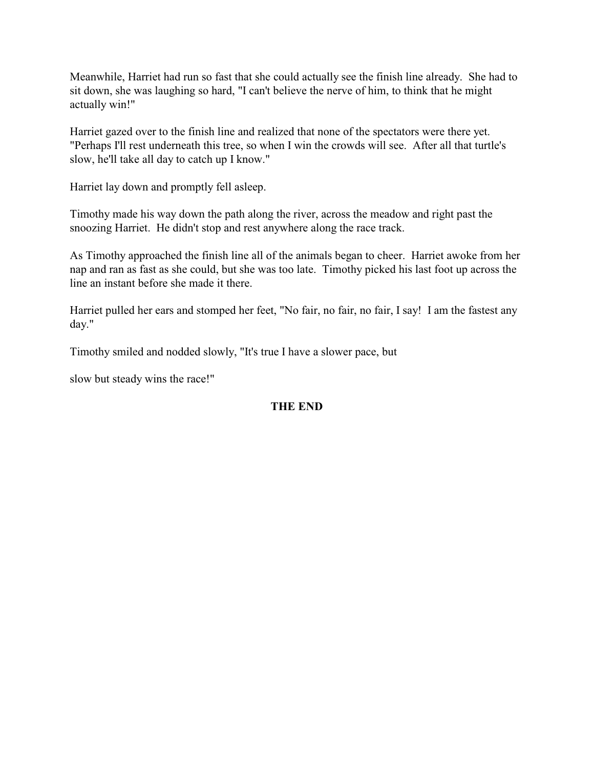Meanwhile, Harriet had run so fast that she could actually see the finish line already. She had to sit down, she was laughing so hard, "I can't believe the nerve of him, to think that he might actually win!"

Harriet gazed over to the finish line and realized that none of the spectators were there yet. "Perhaps I'll rest underneath this tree, so when I win the crowds will see. After all that turtle's slow, he'll take all day to catch up I know."

Harriet lay down and promptly fell asleep.

Timothy made his way down the path along the river, across the meadow and right past the snoozing Harriet. He didn't stop and rest anywhere along the race track.

As Timothy approached the finish line all of the animals began to cheer. Harriet awoke from her nap and ran as fast as she could, but she was too late. Timothy picked his last foot up across the line an instant before she made it there.

Harriet pulled her ears and stomped her feet, "No fair, no fair, no fair, I say! I am the fastest any day."

Timothy smiled and nodded slowly, "It's true I have a slower pace, but

slow but steady wins the race!"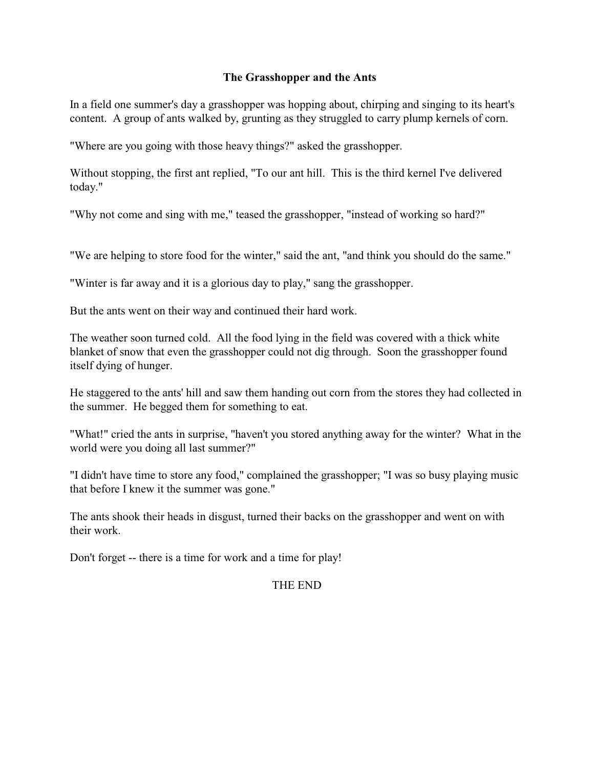## **The Grasshopper and the Ants**

In a field one summer's day a grasshopper was hopping about, chirping and singing to its heart's content. A group of ants walked by, grunting as they struggled to carry plump kernels of corn.

"Where are you going with those heavy things?" asked the grasshopper.

Without stopping, the first ant replied, "To our ant hill. This is the third kernel I've delivered today."

"Why not come and sing with me," teased the grasshopper, "instead of working so hard?"

"We are helping to store food for the winter," said the ant, "and think you should do the same."

"Winter is far away and it is a glorious day to play," sang the grasshopper.

But the ants went on their way and continued their hard work.

The weather soon turned cold. All the food lying in the field was covered with a thick white blanket of snow that even the grasshopper could not dig through. Soon the grasshopper found itself dying of hunger.

He staggered to the ants' hill and saw them handing out corn from the stores they had collected in the summer. He begged them for something to eat.

"What!" cried the ants in surprise, "haven't you stored anything away for the winter? What in the world were you doing all last summer?"

"I didn't have time to store any food," complained the grasshopper; "I was so busy playing music that before I knew it the summer was gone."

The ants shook their heads in disgust, turned their backs on the grasshopper and went on with their work.

Don't forget -- there is a time for work and a time for play!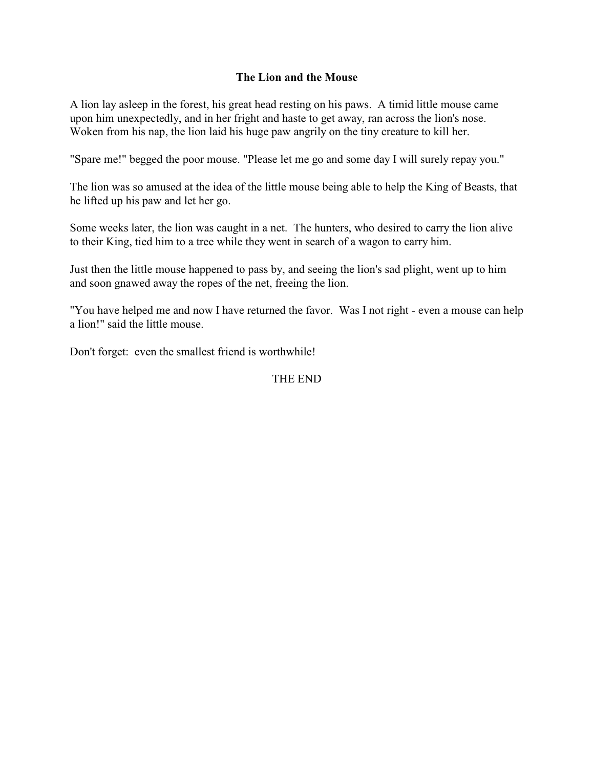### **The Lion and the Mouse**

A lion lay asleep in the forest, his great head resting on his paws. A timid little mouse came upon him unexpectedly, and in her fright and haste to get away, ran across the lion's nose. Woken from his nap, the lion laid his huge paw angrily on the tiny creature to kill her.

"Spare me!" begged the poor mouse. "Please let me go and some day I will surely repay you."

The lion was so amused at the idea of the little mouse being able to help the King of Beasts, that he lifted up his paw and let her go.

Some weeks later, the lion was caught in a net. The hunters, who desired to carry the lion alive to their King, tied him to a tree while they went in search of a wagon to carry him.

Just then the little mouse happened to pass by, and seeing the lion's sad plight, went up to him and soon gnawed away the ropes of the net, freeing the lion.

"You have helped me and now I have returned the favor. Was I not right - even a mouse can help a lion!" said the little mouse.

Don't forget: even the smallest friend is worthwhile!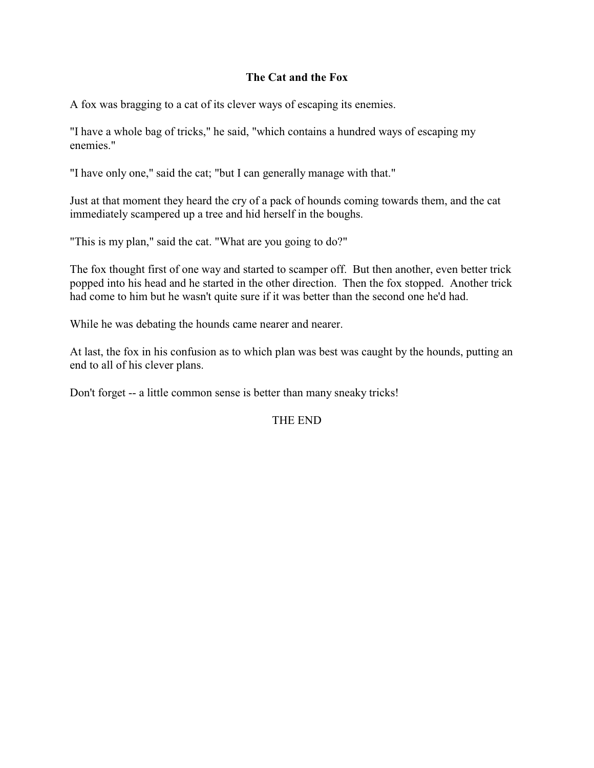### **The Cat and the Fox**

A fox was bragging to a cat of its clever ways of escaping its enemies.

"I have a whole bag of tricks," he said, "which contains a hundred ways of escaping my enemies."

"I have only one," said the cat; "but I can generally manage with that."

Just at that moment they heard the cry of a pack of hounds coming towards them, and the cat immediately scampered up a tree and hid herself in the boughs.

"This is my plan," said the cat. "What are you going to do?"

The fox thought first of one way and started to scamper off. But then another, even better trick popped into his head and he started in the other direction. Then the fox stopped. Another trick had come to him but he wasn't quite sure if it was better than the second one he'd had.

While he was debating the hounds came nearer and nearer.

At last, the fox in his confusion as to which plan was best was caught by the hounds, putting an end to all of his clever plans.

Don't forget -- a little common sense is better than many sneaky tricks!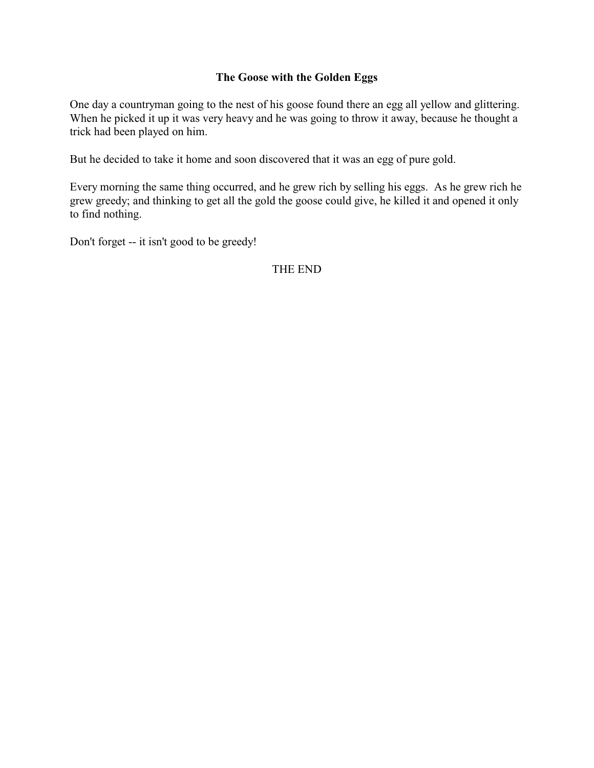## **The Goose with the Golden Eggs**

One day a countryman going to the nest of his goose found there an egg all yellow and glittering. When he picked it up it was very heavy and he was going to throw it away, because he thought a trick had been played on him.

But he decided to take it home and soon discovered that it was an egg of pure gold.

Every morning the same thing occurred, and he grew rich by selling his eggs. As he grew rich he grew greedy; and thinking to get all the gold the goose could give, he killed it and opened it only to find nothing.

Don't forget -- it isn't good to be greedy!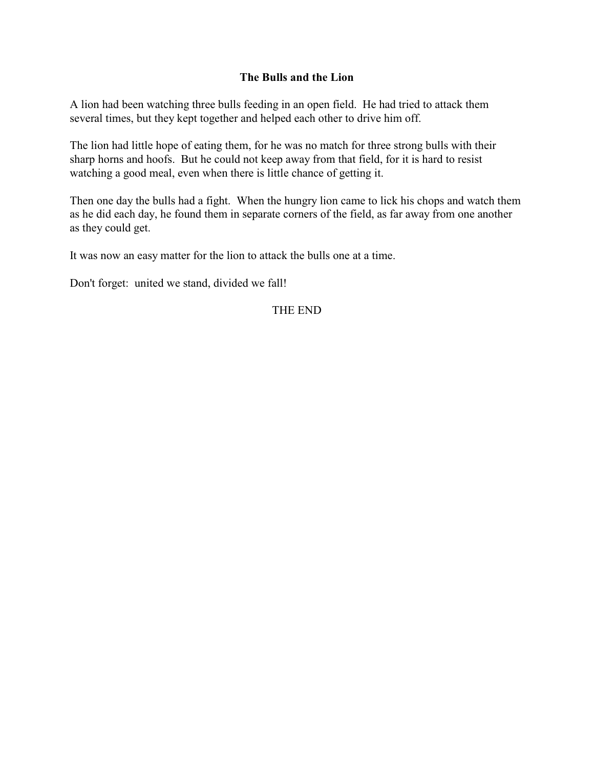### **The Bulls and the Lion**

A lion had been watching three bulls feeding in an open field. He had tried to attack them several times, but they kept together and helped each other to drive him off.

The lion had little hope of eating them, for he was no match for three strong bulls with their sharp horns and hoofs. But he could not keep away from that field, for it is hard to resist watching a good meal, even when there is little chance of getting it.

Then one day the bulls had a fight. When the hungry lion came to lick his chops and watch them as he did each day, he found them in separate corners of the field, as far away from one another as they could get.

It was now an easy matter for the lion to attack the bulls one at a time.

Don't forget: united we stand, divided we fall!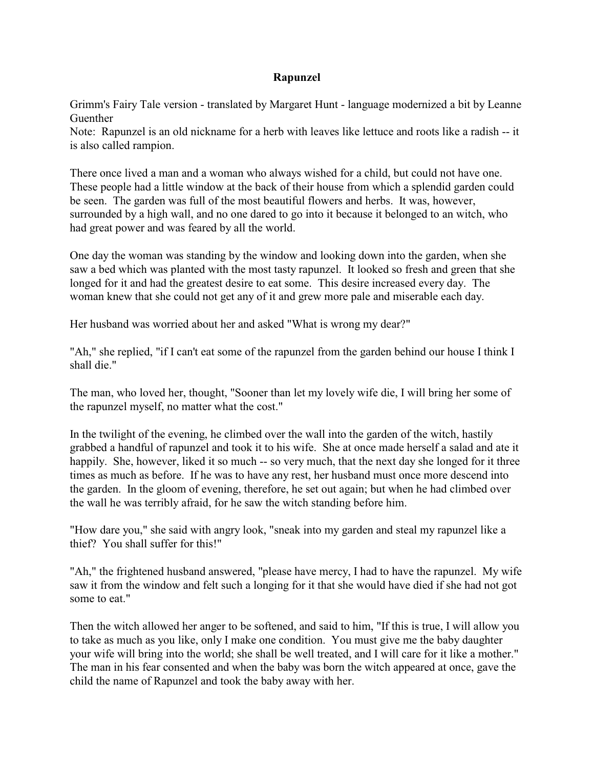#### **Rapunzel**

Grimm's Fairy Tale version - translated by Margaret Hunt - language modernized a bit by Leanne Guenther

Note: Rapunzel is an old nickname for a herb with leaves like lettuce and roots like a radish -- it is also called rampion.

There once lived a man and a woman who always wished for a child, but could not have one. These people had a little window at the back of their house from which a splendid garden could be seen. The garden was full of the most beautiful flowers and herbs. It was, however, surrounded by a high wall, and no one dared to go into it because it belonged to an witch, who had great power and was feared by all the world.

One day the woman was standing by the window and looking down into the garden, when she saw a bed which was planted with the most tasty rapunzel. It looked so fresh and green that she longed for it and had the greatest desire to eat some. This desire increased every day. The woman knew that she could not get any of it and grew more pale and miserable each day.

Her husband was worried about her and asked "What is wrong my dear?"

"Ah," she replied, "if I can't eat some of the rapunzel from the garden behind our house I think I shall die."

The man, who loved her, thought, "Sooner than let my lovely wife die, I will bring her some of the rapunzel myself, no matter what the cost."

In the twilight of the evening, he climbed over the wall into the garden of the witch, hastily grabbed a handful of rapunzel and took it to his wife. She at once made herself a salad and ate it happily. She, however, liked it so much -- so very much, that the next day she longed for it three times as much as before. If he was to have any rest, her husband must once more descend into the garden. In the gloom of evening, therefore, he set out again; but when he had climbed over the wall he was terribly afraid, for he saw the witch standing before him.

"How dare you," she said with angry look, "sneak into my garden and steal my rapunzel like a thief? You shall suffer for this!"

"Ah," the frightened husband answered, "please have mercy, I had to have the rapunzel. My wife saw it from the window and felt such a longing for it that she would have died if she had not got some to eat."

Then the witch allowed her anger to be softened, and said to him, "If this is true, I will allow you to take as much as you like, only I make one condition. You must give me the baby daughter your wife will bring into the world; she shall be well treated, and I will care for it like a mother." The man in his fear consented and when the baby was born the witch appeared at once, gave the child the name of Rapunzel and took the baby away with her.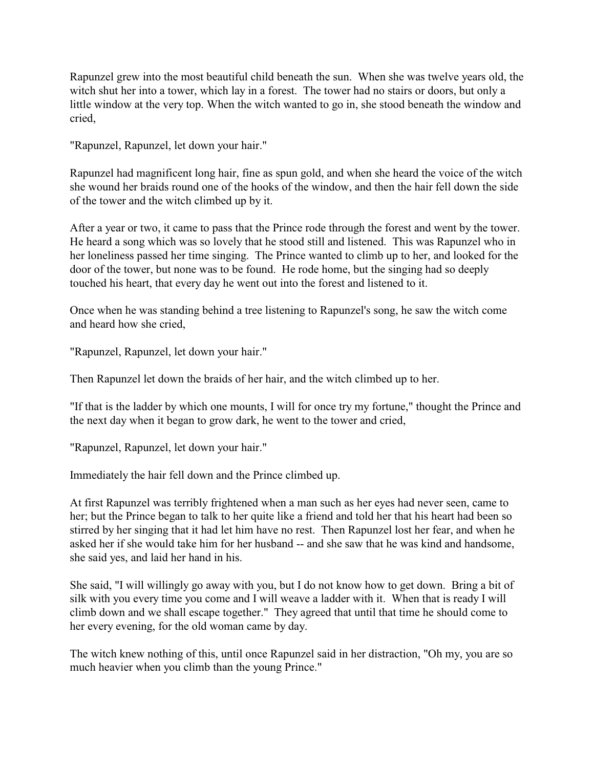Rapunzel grew into the most beautiful child beneath the sun. When she was twelve years old, the witch shut her into a tower, which lay in a forest. The tower had no stairs or doors, but only a little window at the very top. When the witch wanted to go in, she stood beneath the window and cried,

"Rapunzel, Rapunzel, let down your hair."

Rapunzel had magnificent long hair, fine as spun gold, and when she heard the voice of the witch she wound her braids round one of the hooks of the window, and then the hair fell down the side of the tower and the witch climbed up by it.

After a year or two, it came to pass that the Prince rode through the forest and went by the tower. He heard a song which was so lovely that he stood still and listened. This was Rapunzel who in her loneliness passed her time singing. The Prince wanted to climb up to her, and looked for the door of the tower, but none was to be found. He rode home, but the singing had so deeply touched his heart, that every day he went out into the forest and listened to it.

Once when he was standing behind a tree listening to Rapunzel's song, he saw the witch come and heard how she cried,

"Rapunzel, Rapunzel, let down your hair."

Then Rapunzel let down the braids of her hair, and the witch climbed up to her.

"If that is the ladder by which one mounts, I will for once try my fortune," thought the Prince and the next day when it began to grow dark, he went to the tower and cried,

"Rapunzel, Rapunzel, let down your hair."

Immediately the hair fell down and the Prince climbed up.

At first Rapunzel was terribly frightened when a man such as her eyes had never seen, came to her; but the Prince began to talk to her quite like a friend and told her that his heart had been so stirred by her singing that it had let him have no rest. Then Rapunzel lost her fear, and when he asked her if she would take him for her husband -- and she saw that he was kind and handsome, she said yes, and laid her hand in his.

She said, "I will willingly go away with you, but I do not know how to get down. Bring a bit of silk with you every time you come and I will weave a ladder with it. When that is ready I will climb down and we shall escape together." They agreed that until that time he should come to her every evening, for the old woman came by day.

The witch knew nothing of this, until once Rapunzel said in her distraction, "Oh my, you are so much heavier when you climb than the young Prince."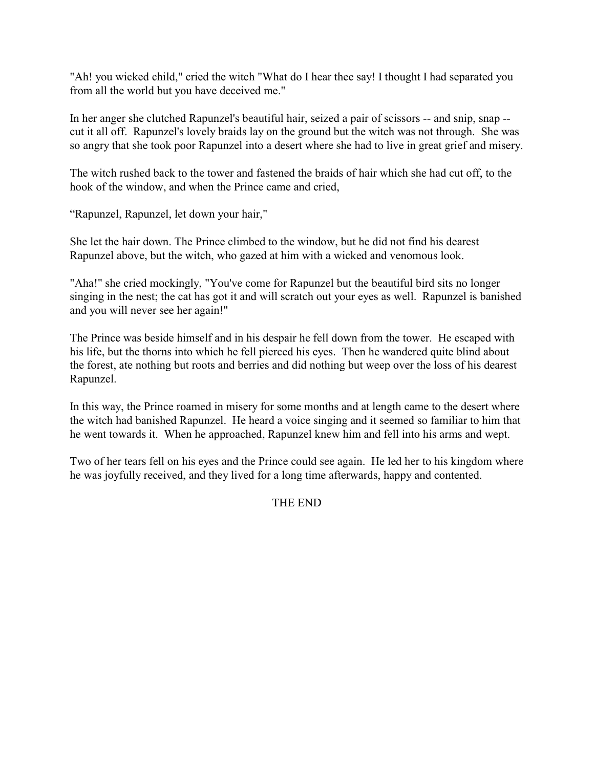"Ah! you wicked child," cried the witch "What do I hear thee say! I thought I had separated you from all the world but you have deceived me."

In her anger she clutched Rapunzel's beautiful hair, seized a pair of scissors -- and snip, snap - cut it all off. Rapunzel's lovely braids lay on the ground but the witch was not through. She was so angry that she took poor Rapunzel into a desert where she had to live in great grief and misery.

The witch rushed back to the tower and fastened the braids of hair which she had cut off, to the hook of the window, and when the Prince came and cried,

"Rapunzel, Rapunzel, let down your hair,"

She let the hair down. The Prince climbed to the window, but he did not find his dearest Rapunzel above, but the witch, who gazed at him with a wicked and venomous look.

"Aha!" she cried mockingly, "You've come for Rapunzel but the beautiful bird sits no longer singing in the nest; the cat has got it and will scratch out your eyes as well. Rapunzel is banished and you will never see her again!"

The Prince was beside himself and in his despair he fell down from the tower. He escaped with his life, but the thorns into which he fell pierced his eyes. Then he wandered quite blind about the forest, ate nothing but roots and berries and did nothing but weep over the loss of his dearest Rapunzel.

In this way, the Prince roamed in misery for some months and at length came to the desert where the witch had banished Rapunzel. He heard a voice singing and it seemed so familiar to him that he went towards it. When he approached, Rapunzel knew him and fell into his arms and wept.

Two of her tears fell on his eyes and the Prince could see again. He led her to his kingdom where he was joyfully received, and they lived for a long time afterwards, happy and contented.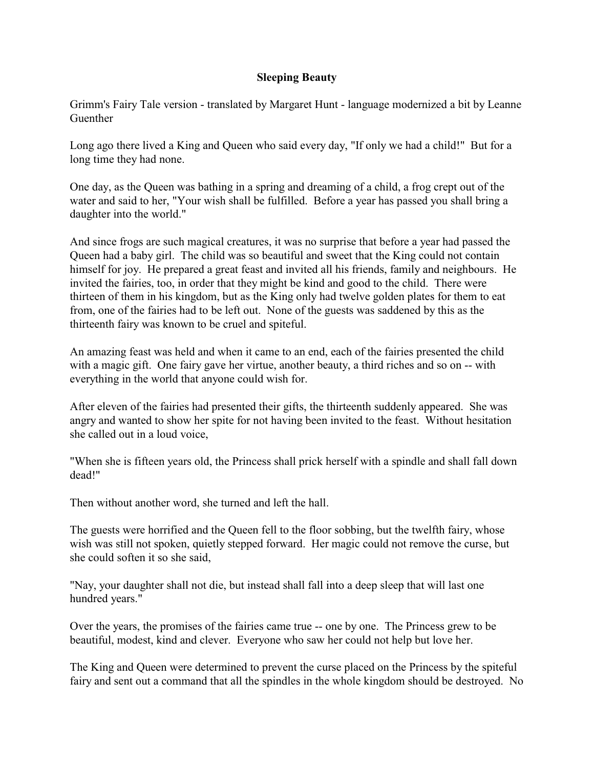## **Sleeping Beauty**

Grimm's Fairy Tale version - translated by Margaret Hunt - language modernized a bit by Leanne Guenther

Long ago there lived a King and Queen who said every day, "If only we had a child!" But for a long time they had none.

One day, as the Queen was bathing in a spring and dreaming of a child, a frog crept out of the water and said to her, "Your wish shall be fulfilled. Before a year has passed you shall bring a daughter into the world."

And since frogs are such magical creatures, it was no surprise that before a year had passed the Queen had a baby girl. The child was so beautiful and sweet that the King could not contain himself for joy. He prepared a great feast and invited all his friends, family and neighbours. He invited the fairies, too, in order that they might be kind and good to the child. There were thirteen of them in his kingdom, but as the King only had twelve golden plates for them to eat from, one of the fairies had to be left out. None of the guests was saddened by this as the thirteenth fairy was known to be cruel and spiteful.

An amazing feast was held and when it came to an end, each of the fairies presented the child with a magic gift. One fairy gave her virtue, another beauty, a third riches and so on -- with everything in the world that anyone could wish for.

After eleven of the fairies had presented their gifts, the thirteenth suddenly appeared. She was angry and wanted to show her spite for not having been invited to the feast. Without hesitation she called out in a loud voice,

"When she is fifteen years old, the Princess shall prick herself with a spindle and shall fall down dead!"

Then without another word, she turned and left the hall.

The guests were horrified and the Queen fell to the floor sobbing, but the twelfth fairy, whose wish was still not spoken, quietly stepped forward. Her magic could not remove the curse, but she could soften it so she said,

"Nay, your daughter shall not die, but instead shall fall into a deep sleep that will last one hundred years."

Over the years, the promises of the fairies came true -- one by one. The Princess grew to be beautiful, modest, kind and clever. Everyone who saw her could not help but love her.

The King and Queen were determined to prevent the curse placed on the Princess by the spiteful fairy and sent out a command that all the spindles in the whole kingdom should be destroyed. No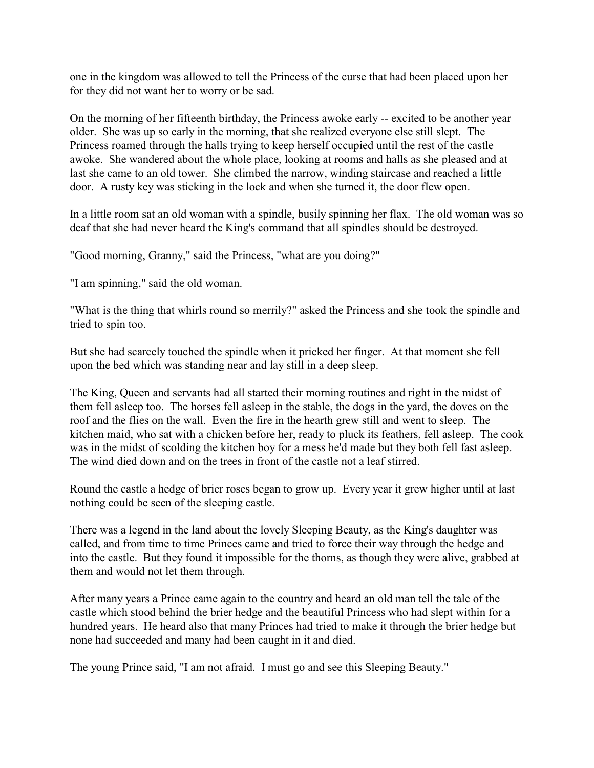one in the kingdom was allowed to tell the Princess of the curse that had been placed upon her for they did not want her to worry or be sad.

On the morning of her fifteenth birthday, the Princess awoke early -- excited to be another year older. She was up so early in the morning, that she realized everyone else still slept. The Princess roamed through the halls trying to keep herself occupied until the rest of the castle awoke. She wandered about the whole place, looking at rooms and halls as she pleased and at last she came to an old tower. She climbed the narrow, winding staircase and reached a little door. A rusty key was sticking in the lock and when she turned it, the door flew open.

In a little room sat an old woman with a spindle, busily spinning her flax. The old woman was so deaf that she had never heard the King's command that all spindles should be destroyed.

"Good morning, Granny," said the Princess, "what are you doing?"

"I am spinning," said the old woman.

"What is the thing that whirls round so merrily?" asked the Princess and she took the spindle and tried to spin too.

But she had scarcely touched the spindle when it pricked her finger. At that moment she fell upon the bed which was standing near and lay still in a deep sleep.

The King, Queen and servants had all started their morning routines and right in the midst of them fell asleep too. The horses fell asleep in the stable, the dogs in the yard, the doves on the roof and the flies on the wall. Even the fire in the hearth grew still and went to sleep. The kitchen maid, who sat with a chicken before her, ready to pluck its feathers, fell asleep. The cook was in the midst of scolding the kitchen boy for a mess he'd made but they both fell fast asleep. The wind died down and on the trees in front of the castle not a leaf stirred.

Round the castle a hedge of brier roses began to grow up. Every year it grew higher until at last nothing could be seen of the sleeping castle.

There was a legend in the land about the lovely Sleeping Beauty, as the King's daughter was called, and from time to time Princes came and tried to force their way through the hedge and into the castle. But they found it impossible for the thorns, as though they were alive, grabbed at them and would not let them through.

After many years a Prince came again to the country and heard an old man tell the tale of the castle which stood behind the brier hedge and the beautiful Princess who had slept within for a hundred years. He heard also that many Princes had tried to make it through the brier hedge but none had succeeded and many had been caught in it and died.

The young Prince said, "I am not afraid. I must go and see this Sleeping Beauty."